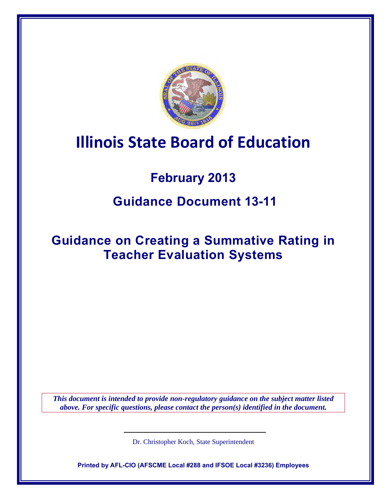

# **Illinois State Board of Education**

## **February 2013**

## **Guidance Document 13-11**

## **Guidance on Creating a Summative Rating in Teacher Evaluation Systems**

*This document is intended to provide non-regulatory guidance on the subject matter listed above. For specific questions, please contact the person(s) identified in the document.*

Dr. Christopher Koch, State Superintendent

**Printed by AFL-CIO (AFSCME Local #288 and IFSOE Local #3236) Employees**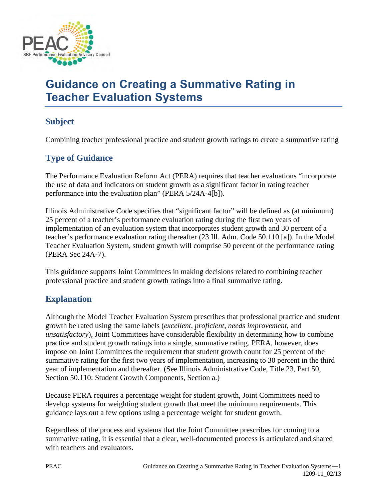

## **Guidance on Creating a Summative Rating in Teacher Evaluation Systems**

### **Subject**

Combining teacher professional practice and student growth ratings to create a summative rating

## **Type of Guidance**

The Performance Evaluation Reform Act (PERA) requires that teacher evaluations "incorporate the use of data and indicators on student growth as a significant factor in rating teacher performance into the evaluation plan" (PERA 5/24A-4[b]).

Illinois Administrative Code specifies that "significant factor" will be defined as (at minimum) 25 percent of a teacher's performance evaluation rating during the first two years of implementation of an evaluation system that incorporates student growth and 30 percent of a teacher's performance evaluation rating thereafter (23 Ill. Adm. Code 50.110 [a]). In the Model Teacher Evaluation System, student growth will comprise 50 percent of the performance rating (PERA Sec 24A-7).

This guidance supports Joint Committees in making decisions related to combining teacher professional practice and student growth ratings into a final summative rating.

### **Explanation**

Although the Model Teacher Evaluation System prescribes that professional practice and student growth be rated using the same labels (*excellent*, *proficient*, *needs improvement*, and *unsatisfactory*), Joint Committees have considerable flexibility in determining how to combine practice and student growth ratings into a single, summative rating. PERA, however, does impose on Joint Committees the requirement that student growth count for 25 percent of the summative rating for the first two years of implementation, increasing to 30 percent in the third year of implementation and thereafter. (See Illinois Administrative Code, Title 23, Part 50, Section 50.110: Student Growth Components, Section a.)

Because PERA requires a percentage weight for student growth, Joint Committees need to develop systems for weighting student growth that meet the minimum requirements. This guidance lays out a few options using a percentage weight for student growth.

Regardless of the process and systems that the Joint Committee prescribes for coming to a summative rating, it is essential that a clear, well-documented process is articulated and shared with teachers and evaluators.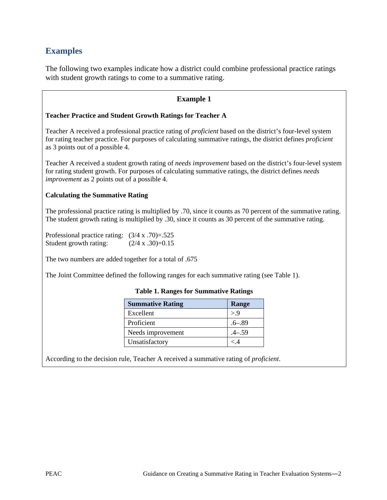### **Examples**

The following two examples indicate how a district could combine professional practice ratings with student growth ratings to come to a summative rating.

#### **Example 1**

#### **Teacher Practice and Student Growth Ratings for Teacher A**

Teacher A received a professional practice rating of *proficient* based on the district's four-level system for rating teacher practice. For purposes of calculating summative ratings, the district defines *proficient* as 3 points out of a possible 4.

Teacher A received a student growth rating of *needs improvement* based on the district's four-level system for rating student growth. For purposes of calculating summative ratings, the district defines *needs improvement* as 2 points out of a possible 4.

#### **Calculating the Summative Rating**

The professional practice rating is multiplied by .70, since it counts as 70 percent of the summative rating. The student growth rating is multiplied by .30, since it counts as 30 percent of the summative rating.

Professional practice rating: (3/4 x .70)=.525 Student growth rating:  $(2/4 \times .30)=0.15$ 

The two numbers are added together for a total of .675

The Joint Committee defined the following ranges for each summative rating (see Table 1).

| <b>Summative Rating</b> | Range      |
|-------------------------|------------|
| Excellent               | > 9        |
| Proficient              | $.6 - .89$ |
| Needs improvement       | $-0.59$    |
| Unsatisfactory          | < 4        |

#### **Table 1. Ranges for Summative Ratings**

According to the decision rule, Teacher A received a summative rating of *proficient*.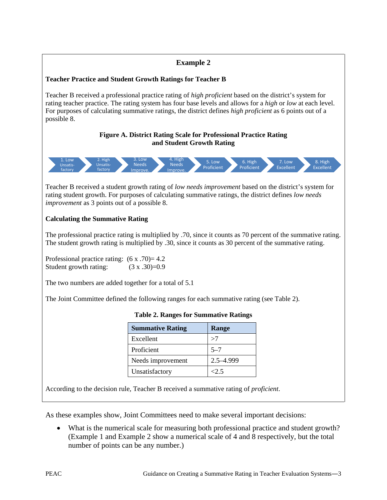#### **Example 2 Teacher Practice and Student Growth Ratings for Teacher B** Teacher B received a professional practice rating of *high proficient* based on the district's system for rating teacher practice. The rating system has four base levels and allows for a *high* or *low* at each level. For purposes of calculating summative ratings, the district defines *high proficient* as 6 points out of a possible 8. **Figure A. District Rating Scale for Professional Practice Rating and Student Growth Rating** Teacher B received a student growth rating of *low needs improvement* based on the district's system for rating student growth. For purposes of calculating summative ratings, the district defines *low needs improvement* as 3 points out of a possible 8. **Calculating the Summative Rating** The professional practice rating is multiplied by .70, since it counts as 70 percent of the summative rating. The student growth rating is multiplied by .30, since it counts as 30 percent of the summative rating. Professional practice rating:  $(6 \times .70) = 4.2$ Student growth rating:  $(3 \times .30)=0.9$ The two numbers are added together for a total of 5.1 The Joint Committee defined the following ranges for each summative rating (see Table 2). **Table 2. Ranges for Summative Ratings Summative Rating | Range**  $\text{Excellent}$   $>7$ Proficient 5–7 Needs improvement 2.5–4.999 Unsatisfactory  $|<2.5$ 1. Low Unsatisfactory 2. High Unsatisfactory 3. Low Needs Improve. 4. High Needs Improve. 5. Low Proficient 6. High Proficient 7. Low **Excellent** 8. High **Excellent**

According to the decision rule, Teacher B received a summative rating of *proficient*.

As these examples show, Joint Committees need to make several important decisions:

• What is the numerical scale for measuring both professional practice and student growth? (Example 1 and Example 2 show a numerical scale of 4 and 8 respectively, but the total number of points can be any number.)